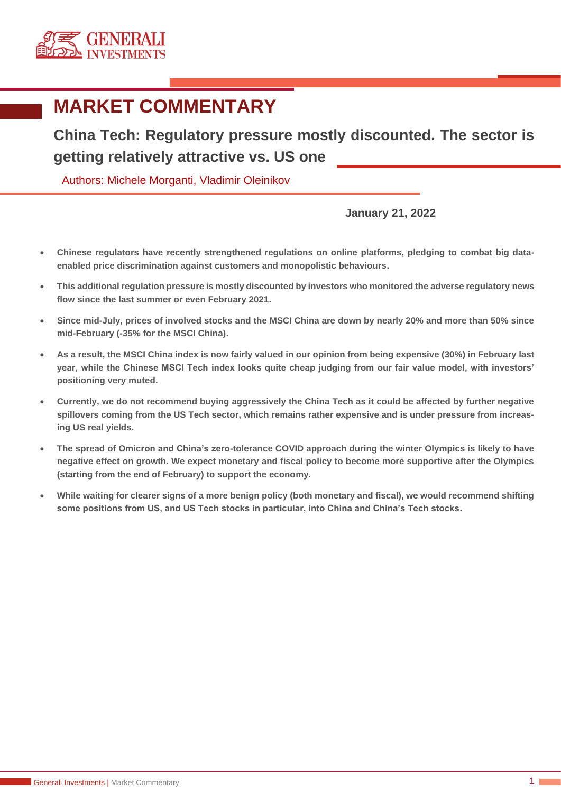

## **MARKET COMMENTARY**

**China Tech: Regulatory pressure mostly discounted. The sector is getting relatively attractive vs. US one**

Authors: Michele Morganti, Vladimir Oleinikov

## **January 21, 2022**

- **Chinese regulators have recently strengthened regulations on online platforms, pledging to combat big dataenabled price discrimination against customers and monopolistic behaviours.**
- **This additional regulation pressure is mostly discounted by investors who monitored the adverse regulatory news flow since the last summer or even February 2021.**
- **Since mid-July, prices of involved stocks and the MSCI China are down by nearly 20% and more than 50% since mid-February (-35% for the MSCI China).**
- **As a result, the MSCI China index is now fairly valued in our opinion from being expensive (30%) in February last year, while the Chinese MSCI Tech index looks quite cheap judging from our fair value model, with investors' positioning very muted.**
- **Currently, we do not recommend buying aggressively the China Tech as it could be affected by further negative spillovers coming from the US Tech sector, which remains rather expensive and is under pressure from increasing US real yields.**
- **The spread of Omicron and China's zero-tolerance COVID approach during the winter Olympics is likely to have negative effect on growth. We expect monetary and fiscal policy to become more supportive after the Olympics (starting from the end of February) to support the economy.**
- **While waiting for clearer signs of a more benign policy (both monetary and fiscal), we would recommend shifting some positions from US, and US Tech stocks in particular, into China and China's Tech stocks.**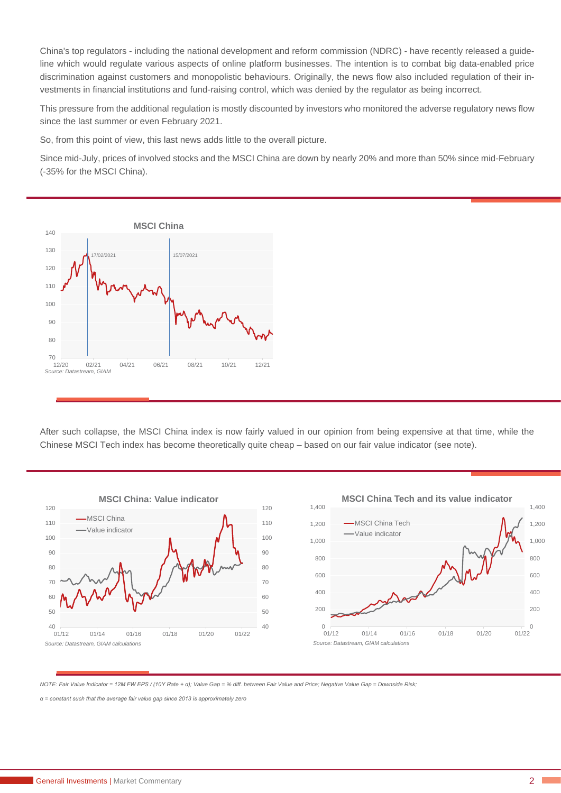China's top regulators - including the national development and reform commission (NDRC) - have recently released a guideline which would regulate various aspects of online platform businesses. The intention is to combat big data-enabled price discrimination against customers and monopolistic behaviours. Originally, the news flow also included regulation of their investments in financial institutions and fund-raising control, which was denied by the regulator as being incorrect.

This pressure from the additional regulation is mostly discounted by investors who monitored the adverse regulatory news flow since the last summer or even February 2021.

So, from this point of view, this last news adds little to the overall picture.

Since mid-July, prices of involved stocks and the MSCI China are down by nearly 20% and more than 50% since mid-February (-35% for the MSCI China).



After such collapse, the MSCI China index is now fairly valued in our opinion from being expensive at that time, while the Chinese MSCI Tech index has become theoretically quite cheap – based on our fair value indicator (see note).



*NOTE: Fair Value Indicator = 12M FW EPS / (10Y Rate + α); Value Gap = % diff. between Fair Value and Price; Negative Value Gap = Downside Risk;*

*α = constant such that the average fair value gap since 2013 is approximately zero*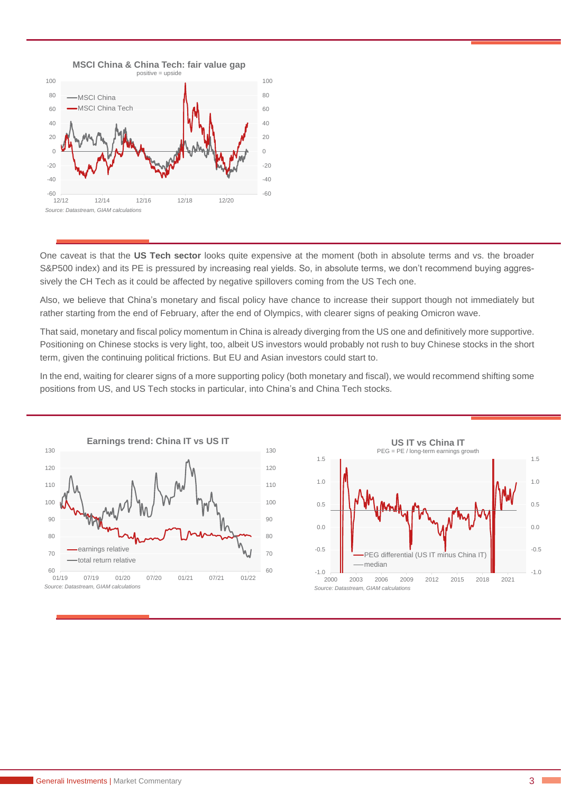

One caveat is that the **US Tech sector** looks quite expensive at the moment (both in absolute terms and vs. the broader S&P500 index) and its PE is pressured by increasing real yields. So, in absolute terms, we don't recommend buying aggressively the CH Tech as it could be affected by negative spillovers coming from the US Tech one.

Also, we believe that China's monetary and fiscal policy have chance to increase their support though not immediately but rather starting from the end of February, after the end of Olympics, with clearer signs of peaking Omicron wave.

That said, monetary and fiscal policy momentum in China is already diverging from the US one and definitively more supportive. Positioning on Chinese stocks is very light, too, albeit US investors would probably not rush to buy Chinese stocks in the short term, given the continuing political frictions. But EU and Asian investors could start to.

In the end, waiting for clearer signs of a more supporting policy (both monetary and fiscal), we would recommend shifting some positions from US, and US Tech stocks in particular, into China's and China Tech stocks.